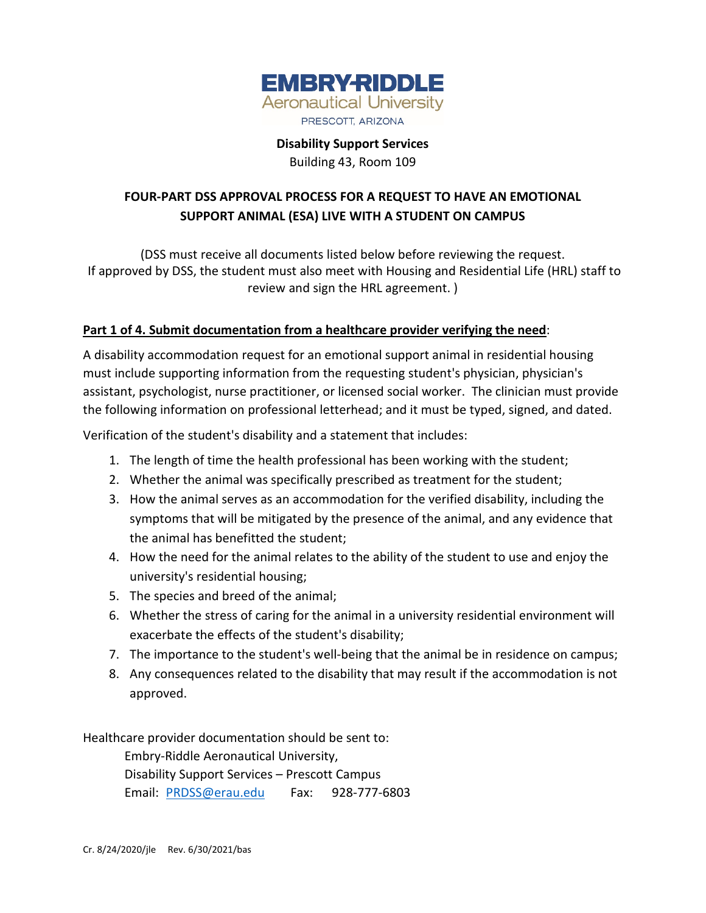

**Disability Support Services**

Building 43, Room 109

# **FOUR-PART DSS APPROVAL PROCESS FOR A REQUEST TO HAVE AN EMOTIONAL SUPPORT ANIMAL (ESA) LIVE WITH A STUDENT ON CAMPUS**

(DSS must receive all documents listed below before reviewing the request. If approved by DSS, the student must also meet with Housing and Residential Life (HRL) staff to review and sign the HRL agreement. )

## **Part 1 of 4. Submit documentation from a healthcare provider verifying the need**:

A disability accommodation request for an emotional support animal in residential housing must include supporting information from the requesting student's physician, physician's assistant, psychologist, nurse practitioner, or licensed social worker. The clinician must provide the following information on professional letterhead; and it must be typed, signed, and dated.

Verification of the student's disability and a statement that includes:

- 1. The length of time the health professional has been working with the student;
- 2. Whether the animal was specifically prescribed as treatment for the student;
- 3. How the animal serves as an accommodation for the verified disability, including the symptoms that will be mitigated by the presence of the animal, and any evidence that the animal has benefitted the student;
- 4. How the need for the animal relates to the ability of the student to use and enjoy the university's residential housing;
- 5. The species and breed of the animal;
- 6. Whether the stress of caring for the animal in a university residential environment will exacerbate the effects of the student's disability;
- 7. The importance to the student's well-being that the animal be in residence on campus;
- 8. Any consequences related to the disability that may result if the accommodation is not approved.

Healthcare provider documentation should be sent to:

Embry-Riddle Aeronautical University, Disability Support Services – Prescott Campus Email: [PRDSS@erau.edu](mailto:PRDSS@erau.edu) Fax: 928-777-6803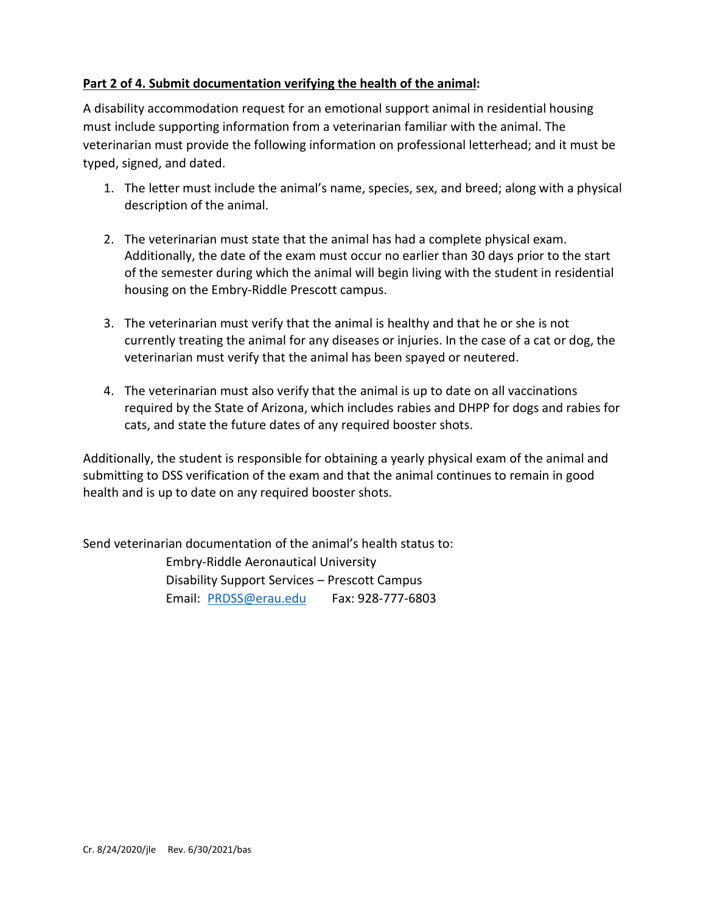#### **Part 2 of 4. Submit documentation verifying the health of the animal:**

A disability accommodation request for an emotional support animal in residential housing must include supporting information from a veterinarian familiar with the animal. The veterinarian must provide the following information on professional letterhead; and it must be typed, signed, and dated.

- 1. The letter must include the animal's name, species, sex, and breed; along with a physical description of the animal.
- 2. The veterinarian must state that the animal has had a complete physical exam. Additionally, the date of the exam must occur no earlier than 30 days prior to the start of the semester during which the animal will begin living with the student in residential housing on the Embry-Riddle Prescott campus.
- 3. The veterinarian must verify that the animal is healthy and that he or she is not currently treating the animal for any diseases or injuries. In the case of a cat or dog, the veterinarian must verify that the animal has been spayed or neutered.
- 4. The veterinarian must also verify that the animal is up to date on all vaccinations required by the State of Arizona, which includes rabies and DHPP for dogs and rabies for cats, and state the future dates of any required booster shots.

Additionally, the student is responsible for obtaining a yearly physical exam of the animal and submitting to DSS verification of the exam and that the animal continues to remain in good health and is up to date on any required booster shots.

Send veterinarian documentation of the animal's health status to: Embry-Riddle Aeronautical University Disability Support Services – Prescott Campus Email: [PRDSS@erau.edu](mailto:PRDSS@erau.edu) Fax: 928-777-6803